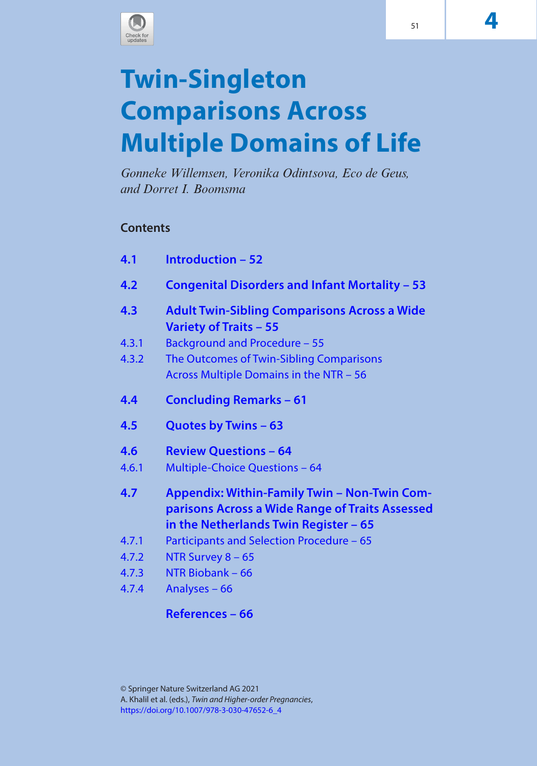

# **Twin-Singleton Comparisons Across Multiple Domains of Life**

*Gonneke Willemsen, Veronika Odintsova, Eco de Geus, and Dorret I. Boomsma*

# **Contents**

| 4.1   | <b>Introduction - 52</b>                                                                                                                        |
|-------|-------------------------------------------------------------------------------------------------------------------------------------------------|
| 4.2   | <b>Congenital Disorders and Infant Mortality - 53</b>                                                                                           |
| 4.3   | <b>Adult Twin-Sibling Comparisons Across a Wide</b><br><b>Variety of Traits - 55</b>                                                            |
| 4.3.1 | <b>Background and Procedure - 55</b>                                                                                                            |
| 4.3.2 | The Outcomes of Twin-Sibling Comparisons                                                                                                        |
|       | Across Multiple Domains in the NTR - 56                                                                                                         |
| 4.4   | <b>Concluding Remarks - 61</b>                                                                                                                  |
| 4.5   | Quotes by Twins - 63                                                                                                                            |
| 4.6   | <b>Review Questions - 64</b>                                                                                                                    |
| 4.6.1 | <b>Multiple-Choice Questions - 64</b>                                                                                                           |
| 4.7   | <b>Appendix: Within-Family Twin - Non-Twin Com-</b><br>parisons Across a Wide Range of Traits Assessed<br>in the Netherlands Twin Register - 65 |
| 4.7.1 | <b>Participants and Selection Procedure - 65</b>                                                                                                |
| 4.7.2 | NTR Survey 8 - 65                                                                                                                               |
| 4.7.3 | NTR Biobank - 66                                                                                                                                |
| 4.7.4 | Analyses - 66                                                                                                                                   |
|       | <b>References - 66</b>                                                                                                                          |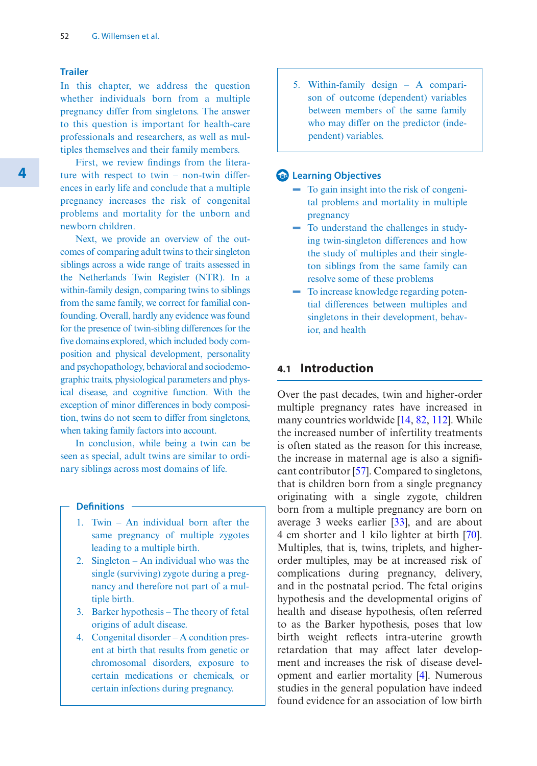## **Trailer**

In this chapter, we address the question whether individuals born from a multiple pregnancy differ from singletons. The answer to this question is important for health-care professionals and researchers, as well as multiples themselves and their family members.

First, we review findings from the literature with respect to twin – non-twin differences in early life and conclude that a multiple pregnancy increases the risk of congenital problems and mortality for the unborn and newborn children.

Next, we provide an overview of the outcomes of comparing adult twins to their singleton siblings across a wide range of traits assessed in the Netherlands Twin Register (NTR). In a within-family design, comparing twins to siblings from the same family, we correct for familial confounding. Overall, hardly any evidence was found for the presence of twin-sibling differences for the five domains explored, which included body composition and physical development, personality and psychopathology, behavioral and sociodemographic traits, physiological parameters and physical disease, and cognitive function. With the exception of minor differences in body composition, twins do not seem to differ from singletons, when taking family factors into account.

In conclusion, while being a twin can be seen as special, adult twins are similar to ordinary siblings across most domains of life.

## **Definitions**

- 1. Twin  $-$  An individual born after the same pregnancy of multiple zygotes leading to a multiple birth.
- 2. Singleton An individual who was the single (surviving) zygote during a pregnancy and therefore not part of a multiple birth.
- 3. Barker hypothesis The theory of fetal origins of adult disease.
- 4. Congenital disorder A condition present at birth that results from genetic or chromosomal disorders, exposure to certain medications or chemicals, or certain infections during pregnancy.

 5. Within-family design – A comparison of outcome (dependent) variables between members of the same family who may differ on the predictor (independent) variables.

#### n**Learning Objectives**

- 5 To gain insight into the risk of congenital problems and mortality in multiple pregnancy
- $\blacksquare$  To understand the challenges in studying twin-singleton differences and how the study of multiples and their singleton siblings from the same family can resolve some of these problems
- $\blacksquare$  To increase knowledge regarding potential differences between multiples and singletons in their development, behavior, and health

## **4.1 Introduction**

Over the past decades, twin and higher-order multiple pregnancy rates have increased in many countries worldwide [14, 82, 112]. While the increased number of infertility treatments is often stated as the reason for this increase, the increase in maternal age is also a significant contributor [57]. Compared to singletons, that is children born from a single pregnancy originating with a single zygote, children born from a multiple pregnancy are born on average 3 weeks earlier [33], and are about 4 cm shorter and 1 kilo lighter at birth [70]. Multiples, that is, twins, triplets, and higherorder multiples, may be at increased risk of complications during pregnancy, delivery, and in the postnatal period. The fetal origins hypothesis and the developmental origins of health and disease hypothesis, often referred to as the Barker hypothesis, poses that low birth weight reflects intra-uterine growth retardation that may affect later development and increases the risk of disease development and earlier mortality [4]. Numerous studies in the general population have indeed found evidence for an association of low birth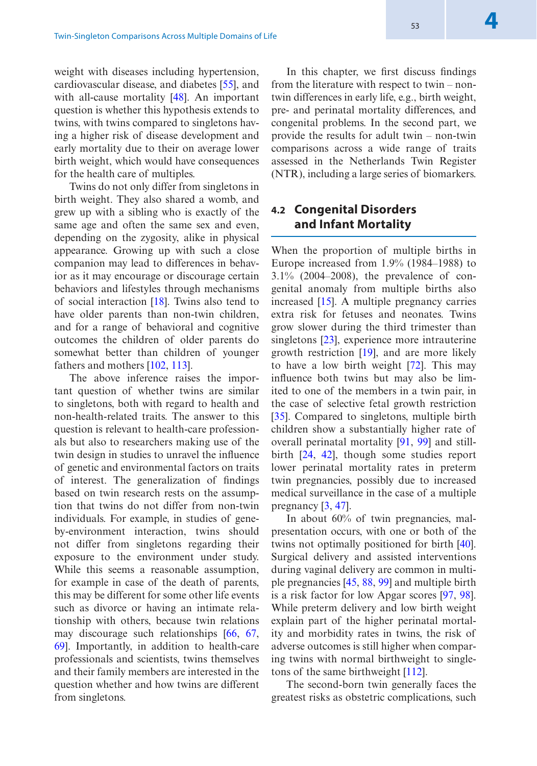weight with diseases including hypertension, cardiovascular disease, and diabetes [55], and with all-cause mortality [48]. An important question is whether this hypothesis extends to twins, with twins compared to singletons having a higher risk of disease development and early mortality due to their on average lower birth weight, which would have consequences for the health care of multiples.

Twins do not only differ from singletons in birth weight. They also shared a womb, and grew up with a sibling who is exactly of the same age and often the same sex and even, depending on the zygosity, alike in physical appearance. Growing up with such a close companion may lead to differences in behavior as it may encourage or discourage certain behaviors and lifestyles through mechanisms of social interaction [18]. Twins also tend to have older parents than non-twin children, and for a range of behavioral and cognitive outcomes the children of older parents do somewhat better than children of younger fathers and mothers [102, 113].

The above inference raises the important question of whether twins are similar to singletons, both with regard to health and non- health- related traits. The answer to this question is relevant to health-care professionals but also to researchers making use of the twin design in studies to unravel the influence of genetic and environmental factors on traits of interest. The generalization of findings based on twin research rests on the assumption that twins do not differ from non-twin individuals. For example, in studies of geneby- environment interaction, twins should not differ from singletons regarding their exposure to the environment under study. While this seems a reasonable assumption, for example in case of the death of parents, this may be different for some other life events such as divorce or having an intimate relationship with others, because twin relations may discourage such relationships [66, 67, 69]. Importantly, in addition to health-care professionals and scientists, twins themselves and their family members are interested in the question whether and how twins are different from singletons.

In this chapter, we first discuss findings from the literature with respect to twin – nontwin differences in early life, e.g., birth weight, pre- and perinatal mortality differences, and congenital problems. In the second part, we provide the results for adult twin – non-twin comparisons across a wide range of traits assessed in the Netherlands Twin Register (NTR), including a large series of biomarkers.

# **4.2 Congenital Disorders and Infant Mortality**

When the proportion of multiple births in Europe increased from 1.9% (1984–1988) to 3.1% (2004–2008), the prevalence of congenital anomaly from multiple births also increased [15]. A multiple pregnancy carries extra risk for fetuses and neonates. Twins grow slower during the third trimester than singletons [23], experience more intrauterine growth restriction [19], and are more likely to have a low birth weight [72]. This may influence both twins but may also be limited to one of the members in a twin pair, in the case of selective fetal growth restriction [35]. Compared to singletons, multiple birth children show a substantially higher rate of overall perinatal mortality [91, 99] and stillbirth [24, 42], though some studies report lower perinatal mortality rates in preterm twin pregnancies, possibly due to increased medical surveillance in the case of a multiple pregnancy [3, 47].

In about 60% of twin pregnancies, malpresentation occurs, with one or both of the twins not optimally positioned for birth [40]. Surgical delivery and assisted interventions during vaginal delivery are common in multiple pregnancies [45, 88, 99] and multiple birth is a risk factor for low Apgar scores [97, 98]. While preterm delivery and low birth weight explain part of the higher perinatal mortality and morbidity rates in twins, the risk of adverse outcomes is still higher when comparing twins with normal birthweight to singletons of the same birthweight [112].

The second-born twin generally faces the greatest risks as obstetric complications, such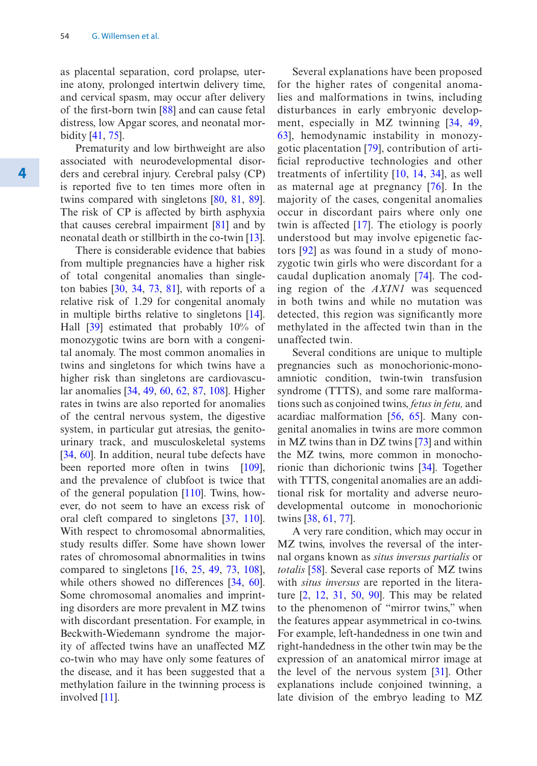as placental separation, cord prolapse, uterine atony, prolonged intertwin delivery time, and cervical spasm, may occur after delivery of the first-born twin [88] and can cause fetal distress, low Apgar scores, and neonatal morbidity [41, 75].

Prematurity and low birthweight are also associated with neurodevelopmental disorders and cerebral injury. Cerebral palsy (CP) is reported five to ten times more often in twins compared with singletons [80, 81, 89]. The risk of CP is affected by birth asphyxia that causes cerebral impairment [81] and by neonatal death or stillbirth in the co-twin [13].

There is considerable evidence that babies from multiple pregnancies have a higher risk of total congenital anomalies than singleton babies [30, 34, 73, 81], with reports of a relative risk of 1.29 for congenital anomaly in multiple births relative to singletons [14]. Hall [39] estimated that probably 10% of monozygotic twins are born with a congenital anomaly. The most common anomalies in twins and singletons for which twins have a higher risk than singletons are cardiovascular anomalies [34, 49, 60, 62, 87, 108]. Higher rates in twins are also reported for anomalies of the central nervous system, the digestive system, in particular gut atresias, the genitourinary track, and musculoskeletal systems [34, 60]. In addition, neural tube defects have been reported more often in twins [109], and the prevalence of clubfoot is twice that of the general population  $[110]$ . Twins, however, do not seem to have an excess risk of oral cleft compared to singletons [37, 110]. With respect to chromosomal abnormalities, study results differ. Some have shown lower rates of chromosomal abnormalities in twins compared to singletons [16, 25, 49, 73, 108], while others showed no differences [34, 60]. Some chromosomal anomalies and imprinting disorders are more prevalent in MZ twins with discordant presentation. For example, in Beckwith-Wiedemann syndrome the majority of affected twins have an unaffected MZ co- twin who may have only some features of the disease, and it has been suggested that a methylation failure in the twinning process is involved [11].

Several explanations have been proposed for the higher rates of congenital anomalies and malformations in twins, including disturbances in early embryonic development, especially in MZ twinning [34, 49, 63], hemodynamic instability in monozygotic placentation [79], contribution of artificial reproductive technologies and other treatments of infertility [10, 14, 34], as well as maternal age at pregnancy [76]. In the majority of the cases, congenital anomalies occur in discordant pairs where only one twin is affected [17]. The etiology is poorly understood but may involve epigenetic factors [92] as was found in a study of monozygotic twin girls who were discordant for a caudal duplication anomaly [74]. The coding region of the *AXIN1* was sequenced in both twins and while no mutation was detected, this region was significantly more methylated in the affected twin than in the unaffected twin.

Several conditions are unique to multiple pregnancies such as monochorionic-monoamniotic condition, twin-twin transfusion syndrome (TTTS), and some rare malformations such as conjoined twins, *fetus in fetu,* and acardiac malformation [56, 65]. Many congenital anomalies in twins are more common in MZ twins than in DZ twins [73] and within the MZ twins, more common in monochorionic than dichorionic twins [34]. Together with TTTS, congenital anomalies are an additional risk for mortality and adverse neurodevelopmental outcome in monochorionic twins [38, 61, 77].

A very rare condition, which may occur in MZ twins, involves the reversal of the internal organs known as *situs inversus partialis* or *totalis* [58]. Several case reports of MZ twins with *situs inversus* are reported in the literature [2, 12, 31, 50, 90]. This may be related to the phenomenon of "mirror twins," when the features appear asymmetrical in co-twins. For example, left-handedness in one twin and right-handedness in the other twin may be the expression of an anatomical mirror image at the level of the nervous system [31]. Other explanations include conjoined twinning, a late division of the embryo leading to MZ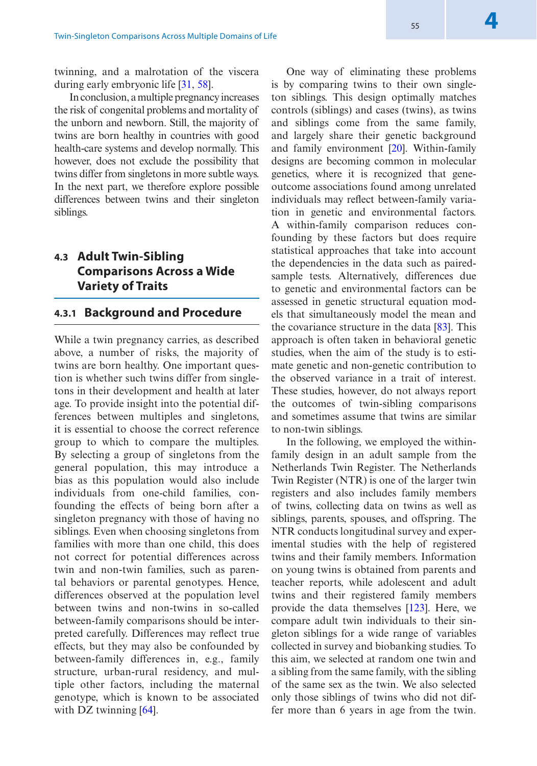twinning, and a malrotation of the viscera during early embryonic life [31, 58].

In conclusion, a multiple pregnancy increases the risk of congenital problems and mortality of the unborn and newborn. Still, the majority of twins are born healthy in countries with good health-care systems and develop normally. This however, does not exclude the possibility that twins differ from singletons in more subtle ways. In the next part, we therefore explore possible differences between twins and their singleton siblings.

# **4.3 Adult Twin-Sibling Comparisons Across a Wide Variety of Traits**

## **4.3.1 Background and Procedure**

While a twin pregnancy carries, as described above, a number of risks, the majority of twins are born healthy. One important question is whether such twins differ from singletons in their development and health at later age. To provide insight into the potential differences between multiples and singletons, it is essential to choose the correct reference group to which to compare the multiples. By selecting a group of singletons from the general population, this may introduce a bias as this population would also include individuals from one-child families, confounding the effects of being born after a singleton pregnancy with those of having no siblings. Even when choosing singletons from families with more than one child, this does not correct for potential differences across twin and non-twin families, such as parental behaviors or parental genotypes. Hence, differences observed at the population level between twins and non-twins in so-called between-family comparisons should be interpreted carefully. Differences may reflect true effects, but they may also be confounded by between-family differences in, e.g., family structure, urban-rural residency, and multiple other factors, including the maternal genotype, which is known to be associated with DZ twinning [64].

One way of eliminating these problems is by comparing twins to their own singleton siblings. This design optimally matches controls (siblings) and cases (twins), as twins and siblings come from the same family, and largely share their genetic background and family environment [20]. Within-family designs are becoming common in molecular genetics, where it is recognized that geneoutcome associations found among unrelated individuals may reflect between-family variation in genetic and environmental factors. A within-family comparison reduces confounding by these factors but does require statistical approaches that take into account the dependencies in the data such as pairedsample tests. Alternatively, differences due to genetic and environmental factors can be assessed in genetic structural equation models that simultaneously model the mean and the covariance structure in the data [83]. This approach is often taken in behavioral genetic studies, when the aim of the study is to estimate genetic and non-genetic contribution to the observed variance in a trait of interest. These studies, however, do not always report the outcomes of twin-sibling comparisons and sometimes assume that twins are similar to non-twin siblings.

In the following, we employed the withinfamily design in an adult sample from the Netherlands Twin Register. The Netherlands Twin Register (NTR) is one of the larger twin registers and also includes family members of twins, collecting data on twins as well as siblings, parents, spouses, and offspring. The NTR conducts longitudinal survey and experimental studies with the help of registered twins and their family members. Information on young twins is obtained from parents and teacher reports, while adolescent and adult twins and their registered family members provide the data themselves [123]. Here, we compare adult twin individuals to their singleton siblings for a wide range of variables collected in survey and biobanking studies. To this aim, we selected at random one twin and a sibling from the same family, with the sibling of the same sex as the twin. We also selected only those siblings of twins who did not differ more than 6 years in age from the twin.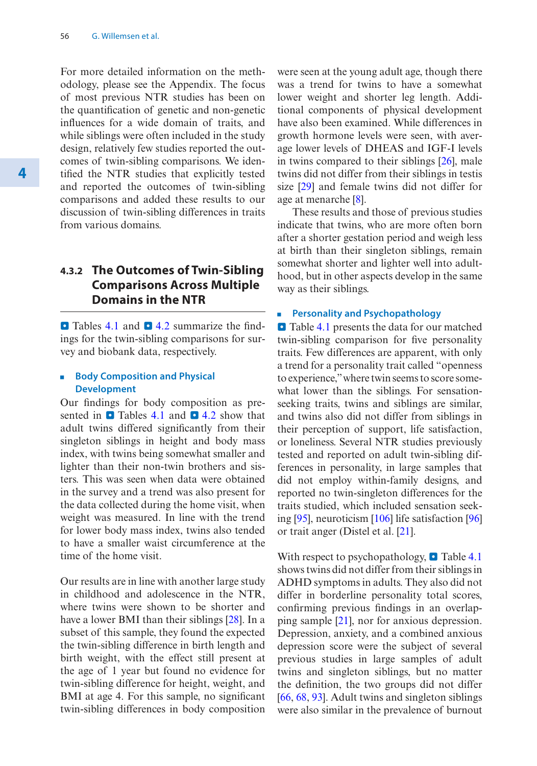For more detailed information on the methodology, please see the Appendix. The focus of most previous NTR studies has been on the quantification of genetic and non-genetic influences for a wide domain of traits, and while siblings were often included in the study design, relatively few studies reported the outcomes of twin-sibling comparisons. We identified the NTR studies that explicitly tested and reported the outcomes of twin-sibling comparisons and added these results to our discussion of twin-sibling differences in traits from various domains.

# **4.3.2 The Outcomes of Twin-Sibling Comparisons Across Multiple Domains in the NTR**

**• Tables 4.1 and**  $\bullet$  **4.2 summarize the find**ings for the twin-sibling comparisons for survey and biobank data, respectively.

## **Body Composition and Physical Development**

Our findings for body composition as presented in  $\Box$  Tables 4.1 and  $\Box$  4.2 show that adult twins differed significantly from their singleton siblings in height and body mass index, with twins being somewhat smaller and lighter than their non-twin brothers and sisters. This was seen when data were obtained in the survey and a trend was also present for the data collected during the home visit, when weight was measured. In line with the trend for lower body mass index, twins also tended to have a smaller waist circumference at the time of the home visit.

Our results are in line with another large study in childhood and adolescence in the NTR, where twins were shown to be shorter and have a lower BMI than their siblings [28]. In a subset of this sample, they found the expected the twin-sibling difference in birth length and birth weight, with the effect still present at the age of 1 year but found no evidence for twin-sibling difference for height, weight, and BMI at age 4. For this sample, no significant twin-sibling differences in body composition were seen at the young adult age, though there was a trend for twins to have a somewhat lower weight and shorter leg length. Additional components of physical development have also been examined. While differences in growth hormone levels were seen, with average lower levels of DHEAS and IGF-I levels in twins compared to their siblings [26], male twins did not differ from their siblings in testis size [29] and female twins did not differ for age at menarche [8].

These results and those of previous studies indicate that twins, who are more often born after a shorter gestation period and weigh less at birth than their singleton siblings, remain somewhat shorter and lighter well into adulthood, but in other aspects develop in the same way as their siblings.

### **Personality and Psychopathology**

**• Table 4.1 presents the data for our matched** twin-sibling comparison for five personality traits. Few differences are apparent, with only a trend for a personality trait called "openness to experience," where twin seems to score somewhat lower than the siblings. For sensationseeking traits, twins and siblings are similar, and twins also did not differ from siblings in their perception of support, life satisfaction, or loneliness. Several NTR studies previously tested and reported on adult twin-sibling differences in personality, in large samples that did not employ within-family designs, and reported no twin-singleton differences for the traits studied, which included sensation seeking [95], neuroticism [106] life satisfaction [96] or trait anger (Distel et al. [21].

With respect to psychopathology,  $\Box$  Table 4.1 shows twins did not differ from their siblings in ADHD symptoms in adults. They also did not differ in borderline personality total scores, confirming previous findings in an overlapping sample [21], nor for anxious depression. Depression, anxiety, and a combined anxious depression score were the subject of several previous studies in large samples of adult twins and singleton siblings, but no matter the definition, the two groups did not differ [66, 68, 93]. Adult twins and singleton siblings were also similar in the prevalence of burnout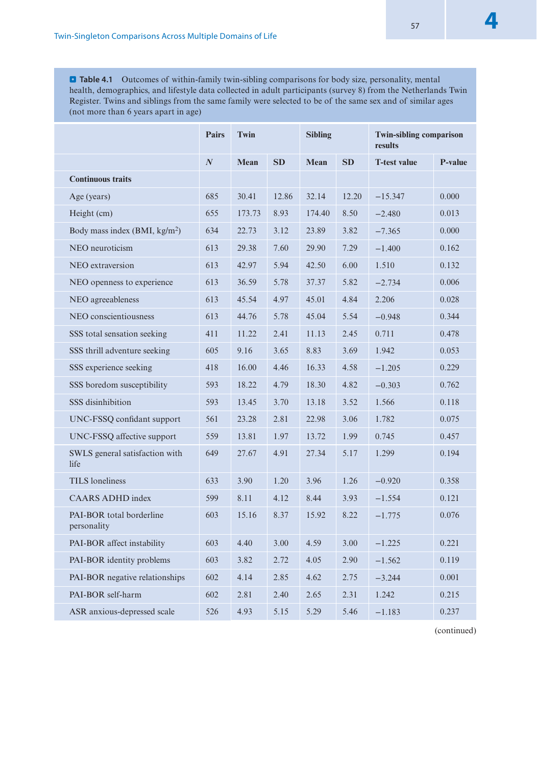$\blacksquare$  **Table 4.1** Outcomes of within-family twin-sibling comparisons for body size, personality, mental health, demographics, and lifestyle data collected in adult participants (survey 8) from the Netherlands Twin Register. Twins and siblings from the same family were selected to be of the same sex and of similar ages (not more than 6 years apart in age)

|                                         | <b>Pairs</b>     | <b>Twin</b> |           | <b>Sibling</b> |           | <b>Twin-sibling comparison</b><br>results |         |
|-----------------------------------------|------------------|-------------|-----------|----------------|-----------|-------------------------------------------|---------|
|                                         | $\boldsymbol{N}$ | <b>Mean</b> | <b>SD</b> | <b>Mean</b>    | <b>SD</b> | <b>T-test value</b>                       | P-value |
| <b>Continuous traits</b>                |                  |             |           |                |           |                                           |         |
| Age (years)                             | 685              | 30.41       | 12.86     | 32.14          | 12.20     | $-15.347$                                 | 0.000   |
| Height (cm)                             | 655              | 173.73      | 8.93      | 174.40         | 8.50      | $-2.480$                                  | 0.013   |
| Body mass index $(BMI, kg/m2)$          | 634              | 22.73       | 3.12      | 23.89          | 3.82      | $-7.365$                                  | 0.000   |
| NEO neuroticism                         | 613              | 29.38       | 7.60      | 29.90          | 7.29      | $-1.400$                                  | 0.162   |
| NEO extraversion                        | 613              | 42.97       | 5.94      | 42.50          | 6.00      | 1.510                                     | 0.132   |
| NEO openness to experience              | 613              | 36.59       | 5.78      | 37.37          | 5.82      | $-2.734$                                  | 0.006   |
| NEO agreeableness                       | 613              | 45.54       | 4.97      | 45.01          | 4.84      | 2.206                                     | 0.028   |
| NEO conscientiousness                   | 613              | 44.76       | 5.78      | 45.04          | 5.54      | $-0.948$                                  | 0.344   |
| SSS total sensation seeking             | 411              | 11.22       | 2.41      | 11.13          | 2.45      | 0.711                                     | 0.478   |
| SSS thrill adventure seeking            | 605              | 9.16        | 3.65      | 8.83           | 3.69      | 1.942                                     | 0.053   |
| SSS experience seeking                  | 418              | 16.00       | 4.46      | 16.33          | 4.58      | $-1.205$                                  | 0.229   |
| SSS boredom susceptibility              | 593              | 18.22       | 4.79      | 18.30          | 4.82      | $-0.303$                                  | 0.762   |
| SSS disinhibition                       | 593              | 13.45       | 3.70      | 13.18          | 3.52      | 1.566                                     | 0.118   |
| UNC-FSSQ confidant support              | 561              | 23.28       | 2.81      | 22.98          | 3.06      | 1.782                                     | 0.075   |
| UNC-FSSQ affective support              | 559              | 13.81       | 1.97      | 13.72          | 1.99      | 0.745                                     | 0.457   |
| SWLS general satisfaction with<br>life  | 649              | 27.67       | 4.91      | 27.34          | 5.17      | 1.299                                     | 0.194   |
| <b>TILS</b> loneliness                  | 633              | 3.90        | 1.20      | 3.96           | 1.26      | $-0.920$                                  | 0.358   |
| <b>CAARS ADHD index</b>                 | 599              | 8.11        | 4.12      | 8.44           | 3.93      | $-1.554$                                  | 0.121   |
| PAI-BOR total borderline<br>personality | 603              | 15.16       | 8.37      | 15.92          | 8.22      | $-1.775$                                  | 0.076   |
| PAI-BOR affect instability              | 603              | 4.40        | 3.00      | 4.59           | 3.00      | $-1.225$                                  | 0.221   |
| PAI-BOR identity problems               | 603              | 3.82        | 2.72      | 4.05           | 2.90      | $-1.562$                                  | 0.119   |
| PAI-BOR negative relationships          | 602              | 4.14        | 2.85      | 4.62           | 2.75      | $-3.244$                                  | 0.001   |
| PAI-BOR self-harm                       | 602              | 2.81        | 2.40      | 2.65           | 2.31      | 1.242                                     | 0.215   |
| ASR anxious-depressed scale             | 526              | 4.93        | 5.15      | 5.29           | 5.46      | $-1.183$                                  | 0.237   |

(continued)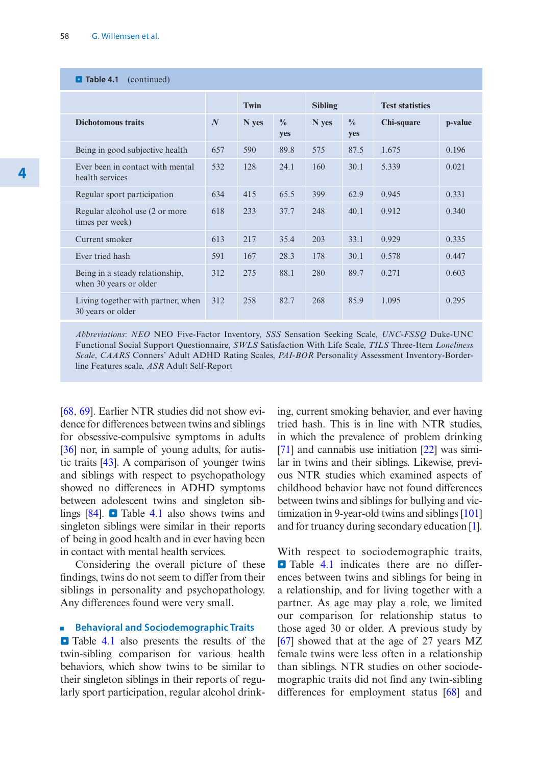| <b>D</b> Table 4.1<br>(continued)                         |                  |       |                      |                |                      |                        |         |  |  |
|-----------------------------------------------------------|------------------|-------|----------------------|----------------|----------------------|------------------------|---------|--|--|
|                                                           |                  | Twin  |                      | <b>Sibling</b> |                      | <b>Test statistics</b> |         |  |  |
| <b>Dichotomous traits</b>                                 | $\boldsymbol{N}$ | N yes | $\frac{0}{0}$<br>yes | N yes          | $\frac{0}{0}$<br>yes | Chi-square             | p-value |  |  |
| Being in good subjective health                           | 657              | 590   | 89.8                 | 575            | 87.5                 | 1.675                  | 0.196   |  |  |
| Ever been in contact with mental<br>health services       | 532              | 128   | 24.1                 | 160            | 30.1                 | 5.339                  | 0.021   |  |  |
| Regular sport participation                               | 634              | 415   | 65.5                 | 399            | 62.9                 | 0.945                  | 0.331   |  |  |
| Regular alcohol use (2 or more<br>times per week)         | 618              | 233   | 37.7                 | 248            | 40.1                 | 0.912                  | 0.340   |  |  |
| Current smoker                                            | 613              | 217   | 35.4                 | 203            | 33.1                 | 0.929                  | 0.335   |  |  |
| Ever tried hash                                           | 591              | 167   | 28.3                 | 178            | 30.1                 | 0.578                  | 0.447   |  |  |
| Being in a steady relationship,<br>when 30 years or older | 312              | 275   | 88.1                 | 280            | 89.7                 | 0.271                  | 0.603   |  |  |
| Living together with partner, when<br>30 years or older   | 312              | 258   | 82.7                 | 268            | 85.9                 | 1.095                  | 0.295   |  |  |

*Abbreviations*: *NEO* NEO Five-Factor Inventory, *SSS* Sensation Seeking Scale, *UNC-FSSQ* Duke- UNC Functional Social Support Questionnaire, *SWLS* Satisfaction With Life Scale, *TILS* Three- Item *Loneliness Scale*, *CAARS* Conners' Adult ADHD Rating Scales, *PAI-BOR* Personality Assessment Inventory-Borderline Features scale, *ASR* Adult Self-Report

[68, 69]. Earlier NTR studies did not show evidence for differences between twins and siblings for obsessive-compulsive symptoms in adults [36] nor, in sample of young adults, for autistic traits [43]. A comparison of younger twins and siblings with respect to psychopathology showed no differences in ADHD symptoms between adolescent twins and singleton siblings  $[84]$ .  $\Box$  Table 4.1 also shows twins and singleton siblings were similar in their reports of being in good health and in ever having been in contact with mental health services.

Considering the overall picture of these findings, twins do not seem to differ from their siblings in personality and psychopathology. Any differences found were very small.

## **Behavioral and Sociodemographic Traits**

**•** Table 4.1 also presents the results of the twin-sibling comparison for various health behaviors, which show twins to be similar to their singleton siblings in their reports of regularly sport participation, regular alcohol drinking, current smoking behavior, and ever having tried hash. This is in line with NTR studies, in which the prevalence of problem drinking [71] and cannabis use initiation [22] was similar in twins and their siblings. Likewise, previous NTR studies which examined aspects of childhood behavior have not found differences between twins and siblings for bullying and victimization in 9-year-old twins and siblings [101] and for truancy during secondary education [1].

With respect to sociodemographic traits, **• Table 4.1** indicates there are no differences between twins and siblings for being in a relationship, and for living together with a partner. As age may play a role, we limited our comparison for relationship status to those aged 30 or older. A previous study by [67] showed that at the age of 27 years MZ female twins were less often in a relationship than siblings. NTR studies on other sociodemographic traits did not find any twin-sibling differences for employment status [68] and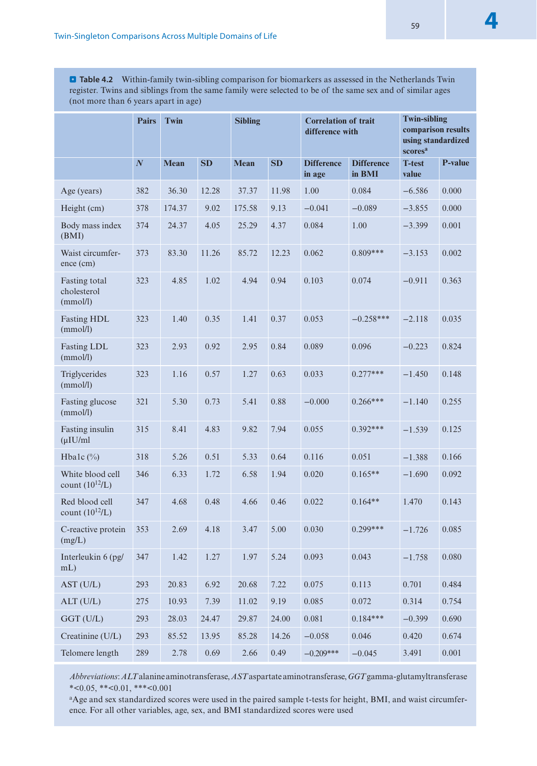$\blacksquare$  Table 4.2 Within-family twin-sibling comparison for biomarkers as assessed in the Netherlands Twin register. Twins and siblings from the same family were selected to be of the same sex and of similar ages (not more than 6 years apart in age)

|                                          | <b>Pairs</b>   | <b>Twin</b> |       | <b>Sibling</b> | <b>Correlation of trait</b><br>difference with |                             |                                    | <b>Twin-sibling</b><br>comparison results<br>using standardized<br>scores <sup>a</sup> |         |
|------------------------------------------|----------------|-------------|-------|----------------|------------------------------------------------|-----------------------------|------------------------------------|----------------------------------------------------------------------------------------|---------|
|                                          | $\overline{N}$ | <b>Mean</b> | SD    | <b>Mean</b>    | SD                                             | <b>Difference</b><br>in age | <b>Difference</b><br>in <b>BMI</b> | <b>T-test</b><br>value                                                                 | P-value |
| Age (years)                              | 382            | 36.30       | 12.28 | 37.37          | 11.98                                          | 1.00                        | 0.084                              | $-6.586$                                                                               | 0.000   |
| Height (cm)                              | 378            | 174.37      | 9.02  | 175.58         | 9.13                                           | $-0.041$                    | $-0.089$                           | $-3.855$                                                                               | 0.000   |
| Body mass index<br>(BMI)                 | 374            | 24.37       | 4.05  | 25.29          | 4.37                                           | 0.084                       | 1.00                               | $-3.399$                                                                               | 0.001   |
| Waist circumfer-<br>ence (cm)            | 373            | 83.30       | 11.26 | 85.72          | 12.23                                          | 0.062                       | $0.809***$                         | $-3.153$                                                                               | 0.002   |
| Fasting total<br>cholesterol<br>(mmol/l) | 323            | 4.85        | 1.02  | 4.94           | 0.94                                           | 0.103                       | 0.074                              | $-0.911$                                                                               | 0.363   |
| <b>Fasting HDL</b><br>(mmol/l)           | 323            | 1.40        | 0.35  | 1.41           | 0.37                                           | 0.053                       | $-0.258***$                        | $-2.118$                                                                               | 0.035   |
| Fasting LDL<br>(mmol/l)                  | 323            | 2.93        | 0.92  | 2.95           | 0.84                                           | 0.089                       | 0.096                              | $-0.223$                                                                               | 0.824   |
| Triglycerides<br>(mmol/l)                | 323            | 1.16        | 0.57  | 1.27           | 0.63                                           | 0.033                       | $0.277***$                         | $-1.450$                                                                               | 0.148   |
| Fasting glucose<br>(mmol/l)              | 321            | 5.30        | 0.73  | 5.41           | 0.88                                           | $-0.000$                    | $0.266***$                         | $-1.140$                                                                               | 0.255   |
| Fasting insulin<br>$(\mu I U/ml)$        | 315            | 8.41        | 4.83  | 9.82           | 7.94                                           | 0.055                       | $0.392***$                         | $-1.539$                                                                               | 0.125   |
| Hbalc $(\%)$                             | 318            | 5.26        | 0.51  | 5.33           | 0.64                                           | 0.116                       | 0.051                              | $-1.388$                                                                               | 0.166   |
| White blood cell<br>count $(10^{12}/L)$  | 346            | 6.33        | 1.72  | 6.58           | 1.94                                           | 0.020                       | $0.165**$                          | $-1.690$                                                                               | 0.092   |
| Red blood cell<br>count $(10^{12}/L)$    | 347            | 4.68        | 0.48  | 4.66           | 0.46                                           | 0.022                       | $0.164**$                          | 1.470                                                                                  | 0.143   |
| C-reactive protein<br>(mg/L)             | 353            | 2.69        | 4.18  | 3.47           | 5.00                                           | 0.030                       | $0.299***$                         | $-1.726$                                                                               | 0.085   |
| Interleukin $6$ (pg/<br>$mL$ )           | 347            | 1.42        | 1.27  | 1.97           | 5.24                                           | 0.093                       | 0.043                              | $-1.758$                                                                               | 0.080   |
| AST (U/L)                                | 293            | 20.83       | 6.92  | 20.68          | 7.22                                           | 0.075                       | 0.113                              | 0.701                                                                                  | 0.484   |
| ALT (U/L)                                | 275            | 10.93       | 7.39  | 11.02          | 9.19                                           | 0.085                       | 0.072                              | 0.314                                                                                  | 0.754   |
| GGT (U/L)                                | 293            | 28.03       | 24.47 | 29.87          | 24.00                                          | 0.081                       | $0.184***$                         | $-0.399$                                                                               | 0.690   |
| Creatinine (U/L)                         | 293            | 85.52       | 13.95 | 85.28          | 14.26                                          | $-0.058$                    | 0.046                              | 0.420                                                                                  | 0.674   |
| Telomere length                          | 289            | 2.78        | 0.69  | 2.66           | 0.49                                           | $-0.209***$                 | $-0.045$                           | 3.491                                                                                  | 0.001   |

*Abbreviations*: *ALT* alanine aminotransferase, *AST* aspartate aminotransferase, *GGT* gamma- glutamyltransferase  $*<0.05$ ,  $*<0.01$ ,  $*<0.001$ 

aAge and sex standardized scores were used in the paired sample t-tests for height, BMI, and waist circumference. For all other variables, age, sex, and BMI standardized scores were used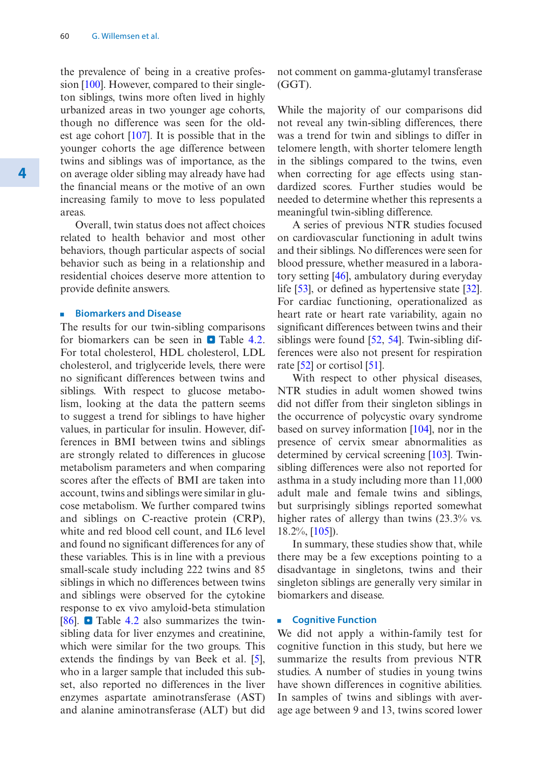the prevalence of being in a creative profession [100]. However, compared to their singleton siblings, twins more often lived in highly urbanized areas in two younger age cohorts, though no difference was seen for the oldest age cohort [107]. It is possible that in the younger cohorts the age difference between twins and siblings was of importance, as the on average older sibling may already have had the financial means or the motive of an own increasing family to move to less populated areas.

Overall, twin status does not affect choices related to health behavior and most other behaviors, though particular aspects of social behavior such as being in a relationship and residential choices deserve more attention to provide definite answers.

#### **Biomarkers and Disease**

The results for our twin-sibling comparisons for biomarkers can be seen in  $\Box$  Table 4.2. For total cholesterol, HDL cholesterol, LDL cholesterol, and triglyceride levels, there were no significant differences between twins and siblings. With respect to glucose metabolism, looking at the data the pattern seems to suggest a trend for siblings to have higher values, in particular for insulin. However, differences in BMI between twins and siblings are strongly related to differences in glucose metabolism parameters and when comparing scores after the effects of BMI are taken into account, twins and siblings were similar in glucose metabolism. We further compared twins and siblings on C-reactive protein (CRP), white and red blood cell count, and IL6 level and found no significant differences for any of these variables. This is in line with a previous small-scale study including 222 twins and 85 siblings in which no differences between twins and siblings were observed for the cytokine response to ex vivo amyloid-beta stimulation [86].  $\bullet$  Table 4.2 also summarizes the twinsibling data for liver enzymes and creatinine, which were similar for the two groups. This extends the findings by van Beek et al. [5], who in a larger sample that included this subset, also reported no differences in the liver enzymes aspartate aminotransferase (AST) and alanine aminotransferase (ALT) but did

not comment on gamma-glutamyl transferase (GGT).

While the majority of our comparisons did not reveal any twin-sibling differences, there was a trend for twin and siblings to differ in telomere length, with shorter telomere length in the siblings compared to the twins, even when correcting for age effects using standardized scores. Further studies would be needed to determine whether this represents a meaningful twin-sibling difference.

A series of previous NTR studies focused on cardiovascular functioning in adult twins and their siblings. No differences were seen for blood pressure, whether measured in a laboratory setting [46], ambulatory during everyday life [53], or defined as hypertensive state [32]. For cardiac functioning, operationalized as heart rate or heart rate variability, again no significant differences between twins and their siblings were found [52, 54]. Twin-sibling differences were also not present for respiration rate [52] or cortisol [51].

With respect to other physical diseases, NTR studies in adult women showed twins did not differ from their singleton siblings in the occurrence of polycystic ovary syndrome based on survey information [104], nor in the presence of cervix smear abnormalities as determined by cervical screening [103]. Twinsibling differences were also not reported for asthma in a study including more than 11,000 adult male and female twins and siblings, but surprisingly siblings reported somewhat higher rates of allergy than twins  $(23.3\%$  vs. 18.2%, [105]).

In summary, these studies show that, while there may be a few exceptions pointing to a disadvantage in singletons, twins and their singleton siblings are generally very similar in biomarkers and disease.

#### **Example 2** Cognitive Function

We did not apply a within-family test for cognitive function in this study, but here we summarize the results from previous NTR studies. A number of studies in young twins have shown differences in cognitive abilities. In samples of twins and siblings with average age between 9 and 13, twins scored lower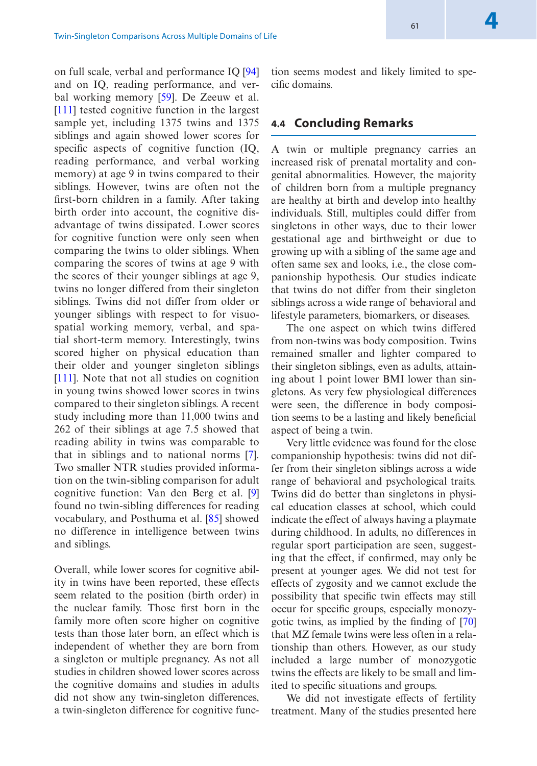on full scale, verbal and performance IQ [94] and on IQ, reading performance, and verbal working memory [59]. De Zeeuw et al. [111] tested cognitive function in the largest sample yet, including 1375 twins and 1375 siblings and again showed lower scores for specific aspects of cognitive function (IQ, reading performance, and verbal working memory) at age 9 in twins compared to their siblings. However, twins are often not the first-born children in a family. After taking birth order into account, the cognitive disadvantage of twins dissipated. Lower scores for cognitive function were only seen when comparing the twins to older siblings. When comparing the scores of twins at age 9 with the scores of their younger siblings at age 9, twins no longer differed from their singleton siblings. Twins did not differ from older or younger siblings with respect to for visuospatial working memory, verbal, and spatial short-term memory. Interestingly, twins scored higher on physical education than their older and younger singleton siblings [111]. Note that not all studies on cognition in young twins showed lower scores in twins compared to their singleton siblings. A recent study including more than 11,000 twins and 262 of their siblings at age 7.5 showed that reading ability in twins was comparable to that in siblings and to national norms [7]. Two smaller NTR studies provided information on the twin-sibling comparison for adult cognitive function: Van den Berg et al. [9] found no twin-sibling differences for reading vocabulary, and Posthuma et al. [85] showed no difference in intelligence between twins and siblings.

Overall, while lower scores for cognitive ability in twins have been reported, these effects seem related to the position (birth order) in the nuclear family. Those first born in the family more often score higher on cognitive tests than those later born, an effect which is independent of whether they are born from a singleton or multiple pregnancy. As not all studies in children showed lower scores across the cognitive domains and studies in adults did not show any twin-singleton differences, a twin-singleton difference for cognitive function seems modest and likely limited to specific domains.

## **4.4 Concluding Remarks**

A twin or multiple pregnancy carries an increased risk of prenatal mortality and congenital abnormalities. However, the majority of children born from a multiple pregnancy are healthy at birth and develop into healthy individuals. Still, multiples could differ from singletons in other ways, due to their lower gestational age and birthweight or due to growing up with a sibling of the same age and often same sex and looks, i.e., the close companionship hypothesis. Our studies indicate that twins do not differ from their singleton siblings across a wide range of behavioral and lifestyle parameters, biomarkers, or diseases.

The one aspect on which twins differed from non-twins was body composition. Twins remained smaller and lighter compared to their singleton siblings, even as adults, attaining about 1 point lower BMI lower than singletons. As very few physiological differences were seen, the difference in body composition seems to be a lasting and likely beneficial aspect of being a twin.

Very little evidence was found for the close companionship hypothesis: twins did not differ from their singleton siblings across a wide range of behavioral and psychological traits. Twins did do better than singletons in physical education classes at school, which could indicate the effect of always having a playmate during childhood. In adults, no differences in regular sport participation are seen, suggesting that the effect, if confirmed, may only be present at younger ages. We did not test for effects of zygosity and we cannot exclude the possibility that specific twin effects may still occur for specific groups, especially monozygotic twins, as implied by the finding of [70] that MZ female twins were less often in a relationship than others. However, as our study included a large number of monozygotic twins the effects are likely to be small and limited to specific situations and groups.

We did not investigate effects of fertility treatment. Many of the studies presented here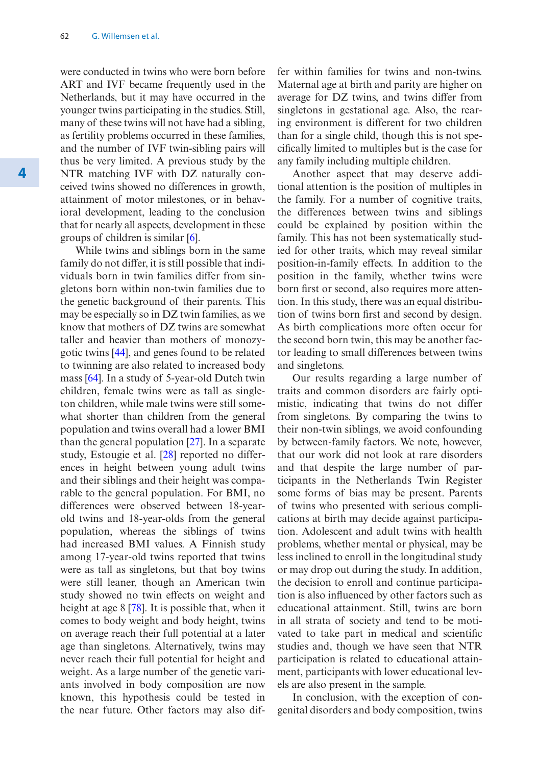were conducted in twins who were born before ART and IVF became frequently used in the Netherlands, but it may have occurred in the

ioral development, leading to the conclusion that for nearly all aspects, development in these

younger twins participating in the studies. Still, many of these twins will not have had a sibling, as fertility problems occurred in these families, and the number of IVF twin-sibling pairs will thus be very limited. A previous study by the NTR matching IVF with DZ naturally conceived twins showed no differences in growth, attainment of motor milestones, or in behav-

groups of children is similar [6]. While twins and siblings born in the same family do not differ, it is still possible that individuals born in twin families differ from singletons born within non-twin families due to the genetic background of their parents. This may be especially so in DZ twin families, as we know that mothers of DZ twins are somewhat taller and heavier than mothers of monozygotic twins [44], and genes found to be related to twinning are also related to increased body mass [64]. In a study of 5-year-old Dutch twin children, female twins were as tall as singleton children, while male twins were still somewhat shorter than children from the general population and twins overall had a lower BMI than the general population [27]. In a separate study, Estougie et al. [28] reported no differences in height between young adult twins and their siblings and their height was comparable to the general population. For BMI, no differences were observed between 18-yearold twins and 18-year-olds from the general population, whereas the siblings of twins had increased BMI values. A Finnish study among 17-year-old twins reported that twins were as tall as singletons, but that boy twins were still leaner, though an American twin study showed no twin effects on weight and height at age 8 [78]. It is possible that, when it comes to body weight and body height, twins on average reach their full potential at a later age than singletons. Alternatively, twins may never reach their full potential for height and weight. As a large number of the genetic variants involved in body composition are now known, this hypothesis could be tested in the near future. Other factors may also differ within families for twins and non-twins. Maternal age at birth and parity are higher on average for DZ twins, and twins differ from singletons in gestational age. Also, the rearing environment is different for two children than for a single child, though this is not specifically limited to multiples but is the case for any family including multiple children.

Another aspect that may deserve additional attention is the position of multiples in the family. For a number of cognitive traits, the differences between twins and siblings could be explained by position within the family. This has not been systematically studied for other traits, which may reveal similar position-in-family effects. In addition to the position in the family, whether twins were born first or second, also requires more attention. In this study, there was an equal distribution of twins born first and second by design. As birth complications more often occur for the second born twin, this may be another factor leading to small differences between twins and singletons.

Our results regarding a large number of traits and common disorders are fairly optimistic, indicating that twins do not differ from singletons. By comparing the twins to their non-twin siblings, we avoid confounding by between-family factors. We note, however, that our work did not look at rare disorders and that despite the large number of participants in the Netherlands Twin Register some forms of bias may be present. Parents of twins who presented with serious complications at birth may decide against participation. Adolescent and adult twins with health problems, whether mental or physical, may be less inclined to enroll in the longitudinal study or may drop out during the study. In addition, the decision to enroll and continue participation is also influenced by other factors such as educational attainment. Still, twins are born in all strata of society and tend to be motivated to take part in medical and scientific studies and, though we have seen that NTR participation is related to educational attainment, participants with lower educational levels are also present in the sample.

In conclusion, with the exception of congenital disorders and body composition, twins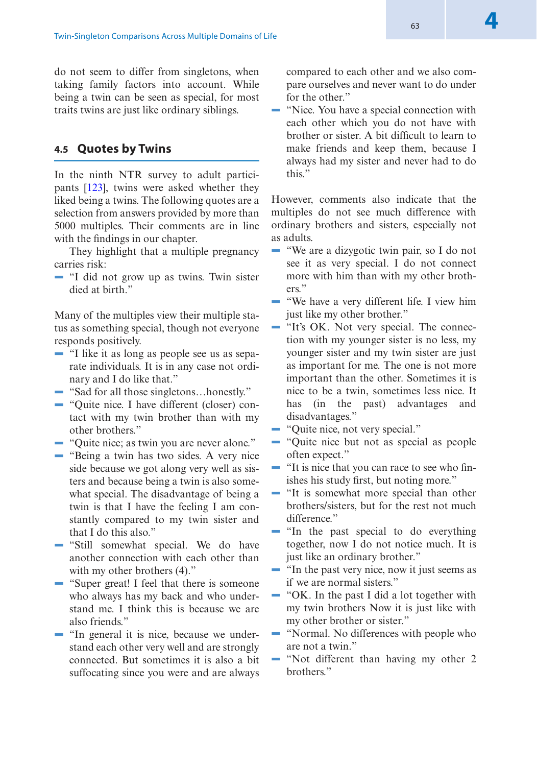do not seem to differ from singletons, when taking family factors into account. While being a twin can be seen as special, for most traits twins are just like ordinary siblings.

## **4.5 Quotes by Twins**

In the ninth NTR survey to adult participants [123], twins were asked whether they liked being a twins. The following quotes are a selection from answers provided by more than 5000 multiples. Their comments are in line with the findings in our chapter.

They highlight that a multiple pregnancy carries risk:

5 "I did not grow up as twins. Twin sister died at birth."

Many of the multiples view their multiple status as something special, though not everyone responds positively.

- 5 "I like it as long as people see us as separate individuals. It is in any case not ordinary and I do like that."
- 5 "Sad for all those singletons…honestly."
- 5 "Quite nice. I have different (closer) contact with my twin brother than with my other brothers."
- 5 "Quite nice; as twin you are never alone."
- 5 "Being a twin has two sides. A very nice side because we got along very well as sisters and because being a twin is also somewhat special. The disadvantage of being a twin is that I have the feeling I am constantly compared to my twin sister and that I do this also."
- "Still somewhat special. We do have another connection with each other than with my other brothers  $(4)$ ."
- 5 "Super great! I feel that there is someone who always has my back and who understand me. I think this is because we are also friends."
- 5 "In general it is nice, because we understand each other very well and are strongly connected. But sometimes it is also a bit suffocating since you were and are always

compared to each other and we also compare ourselves and never want to do under for the other."

5 "Nice. You have a special connection with each other which you do not have with brother or sister. A bit difficult to learn to make friends and keep them, because I always had my sister and never had to do this."

However, comments also indicate that the multiples do not see much difference with ordinary brothers and sisters, especially not as adults.

- 5 "We are a dizygotic twin pair, so I do not see it as very special. I do not connect more with him than with my other brothers."
- 5 "We have a very different life. I view him just like my other brother."
- 5 "It's OK. Not very special. The connection with my younger sister is no less, my younger sister and my twin sister are just as important for me. The one is not more important than the other. Sometimes it is nice to be a twin, sometimes less nice. It has (in the past) advantages and disadvantages."
- 5 "Quite nice, not very special."
- 5 "Quite nice but not as special as people often expect."
- 5 "It is nice that you can race to see who finishes his study first, but noting more."
- 5 "It is somewhat more special than other brothers/sisters, but for the rest not much difference."
- 5 "In the past special to do everything together, now I do not notice much. It is just like an ordinary brother."
- 5 "In the past very nice, now it just seems as if we are normal sisters."
- 5 "OK. In the past I did a lot together with my twin brothers Now it is just like with my other brother or sister."
- 5 "Normal. No differences with people who are not a twin."
- 5 "Not different than having my other 2 brothers."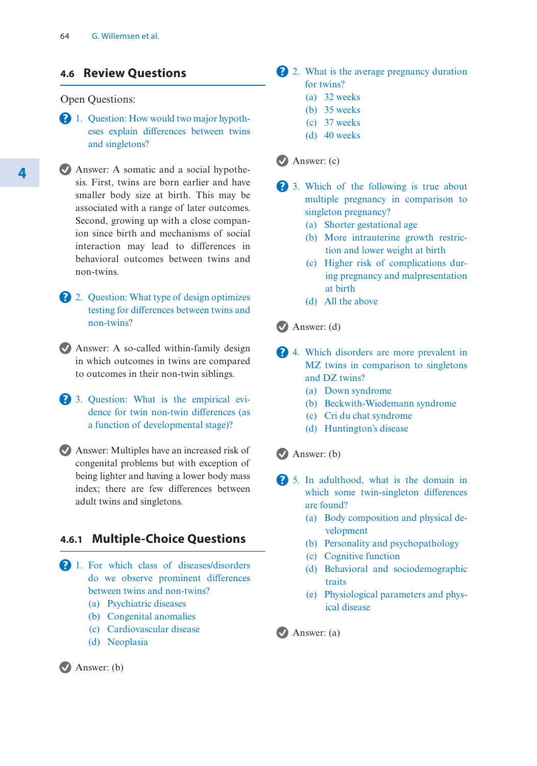# **4.6 Review Questions**

#### Open Questions:

- ? 1. Question: How would two major hypotheses explain differences between twins and singletons?
- v Answer: A somatic and a social hypothesis. First, twins are born earlier and have smaller body size at birth. This may be associated with a range of later outcomes. Second, growing up with a close companion since birth and mechanisms of social interaction may lead to differences in behavioral outcomes between twins and non-twins.
- ? 2. Question: What type of design optimizes testing for differences between twins and non-twins?
- v Answer: A so-called within-family design in which outcomes in twins are compared to outcomes in their non-twin siblings.
- ? 3. Question: What is the empirical evidence for twin non-twin differences (as a function of developmental stage)?
- v Answer: Multiples have an increased risk of congenital problems but with exception of being lighter and having a lower body mass index; there are few differences between adult twins and singletons.

## **4.6.1 Multiple-Choice Questions**

- ? 1. For which class of diseases/disorders do we observe prominent differences between twins and non-twins?
	- (a) Psychiatric diseases
	- (b) Congenital anomalies
	- (c) Cardiovascular disease
	- (d) Neoplasia
- ? 2. What is the average pregnancy duration for twins?
	- (a) 32 weeks
	- (b) 35 weeks
	- (c) 37 weeks
	- (d) 40 weeks

#### v Answer: (c)

- ? 3. Which of the following is true about multiple pregnancy in comparison to singleton pregnancy?
	- (a) Shorter gestational age
	- (b) More intrauterine growth restriction and lower weight at birth
	- (c) Higher risk of complications during pregnancy and malpresentation at birth
	- (d) All the above

### v Answer: (d)

- ? 4. Which disorders are more prevalent in MZ twins in comparison to singletons and DZ twins?
	- (a) Down syndrome
	- (b) Beckwith-Wiedemann syndrome
	- (c) Cri du chat syndrome
	- (d) Huntington's disease

## v Answer: (b)

- ? 5. In adulthood, what is the domain in which some twin-singleton differences are found?
	- (a) Body composition and physical development
	- (b) Personality and psychopathology
	- (c) Cognitive function
	- (d) Behavioral and sociodemographic traits
	- (e) Physiological parameters and physical disease

v Answer: (a)

v Answer: (b)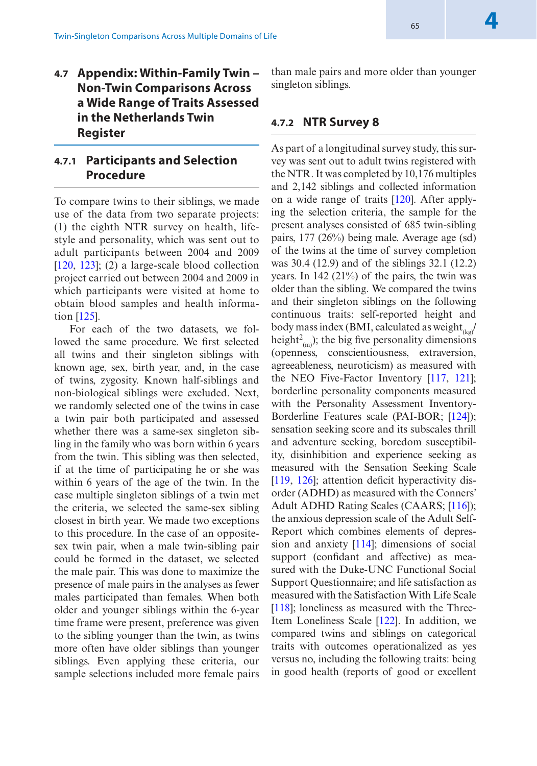# **4.7 Appendix: Within-Family Twin – Non-Twin Comparisons Across a Wide Range of Traits Assessed in the Netherlands Twin Register**

# **4.7.1 Participants and Selection Procedure**

To compare twins to their siblings, we made use of the data from two separate projects: (1) the eighth NTR survey on health, lifestyle and personality, which was sent out to adult participants between 2004 and 2009 [120, 123]; (2) a large-scale blood collection project carried out between 2004 and 2009 in which participants were visited at home to obtain blood samples and health information [125].

For each of the two datasets, we followed the same procedure. We first selected all twins and their singleton siblings with known age, sex, birth year, and, in the case of twins, zygosity. Known half-siblings and non-biological siblings were excluded. Next, we randomly selected one of the twins in case a twin pair both participated and assessed whether there was a same-sex singleton sibling in the family who was born within 6 years from the twin. This sibling was then selected, if at the time of participating he or she was within 6 years of the age of the twin. In the case multiple singleton siblings of a twin met the criteria, we selected the same-sex sibling closest in birth year. We made two exceptions to this procedure. In the case of an oppositesex twin pair, when a male twin-sibling pair could be formed in the dataset, we selected the male pair. This was done to maximize the presence of male pairs in the analyses as fewer males participated than females. When both older and younger siblings within the 6-year time frame were present, preference was given to the sibling younger than the twin, as twins more often have older siblings than younger siblings. Even applying these criteria, our sample selections included more female pairs than male pairs and more older than younger singleton siblings.

## **4.7.2 NTR Survey 8**

As part of a longitudinal survey study, this survey was sent out to adult twins registered with the NTR. It was completed by 10,176 multiples and 2,142 siblings and collected information on a wide range of traits [120]. After applying the selection criteria, the sample for the present analyses consisted of 685 twin-sibling pairs, 177 (26%) being male. Average age (sd) of the twins at the time of survey completion was 30.4 (12.9) and of the siblings 32.1 (12.2) years. In 142 (21%) of the pairs, the twin was older than the sibling. We compared the twins and their singleton siblings on the following continuous traits: self-reported height and body mass index (BMI, calculated as weight $_{\alpha}$ ) height<sup>2</sup><sub>(m)</sub>); the big five personality dimensions (openness, conscientiousness, extraversion, agreeableness, neuroticism) as measured with the NEO Five-Factor Inventory [117, 121]; borderline personality components measured with the Personality Assessment Inventory-Borderline Features scale (PAI-BOR; [124]); sensation seeking score and its subscales thrill and adventure seeking, boredom susceptibility, disinhibition and experience seeking as measured with the Sensation Seeking Scale [119, 126]; attention deficit hyperactivity disorder (ADHD) as measured with the Conners' Adult ADHD Rating Scales (CAARS; [116]); the anxious depression scale of the Adult Self-Report which combines elements of depression and anxiety [114]; dimensions of social support (confidant and affective) as measured with the Duke-UNC Functional Social Support Questionnaire; and life satisfaction as measured with the Satisfaction With Life Scale [118]; loneliness as measured with the Three-Item Loneliness Scale [122]. In addition, we compared twins and siblings on categorical traits with outcomes operationalized as yes versus no, including the following traits: being in good health (reports of good or excellent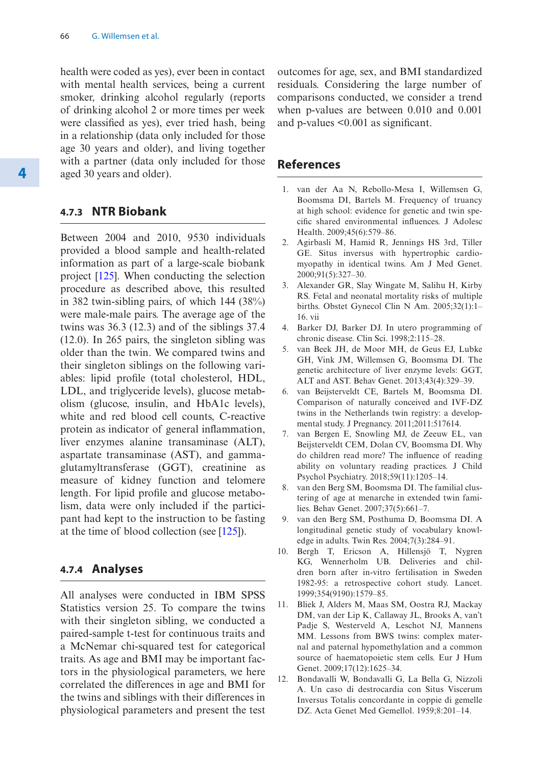health were coded as yes), ever been in contact with mental health services, being a current smoker, drinking alcohol regularly (reports of drinking alcohol 2 or more times per week were classified as yes), ever tried hash, being in a relationship (data only included for those age 30 years and older), and living together with a partner (data only included for those aged 30 years and older).

# **4.7.3 NTR Biobank**

Between 2004 and 2010, 9530 individuals provided a blood sample and health-related information as part of a large-scale biobank project [125]. When conducting the selection procedure as described above, this resulted in 382 twin-sibling pairs, of which 144 (38%) were male-male pairs. The average age of the twins was 36.3 (12.3) and of the siblings 37.4 (12.0). In 265 pairs, the singleton sibling was older than the twin. We compared twins and their singleton siblings on the following variables: lipid profile (total cholesterol, HDL, LDL, and triglyceride levels), glucose metabolism (glucose, insulin, and HbA1c levels), white and red blood cell counts, C-reactive protein as indicator of general inflammation, liver enzymes alanine transaminase (ALT), aspartate transaminase (AST), and gammaglutamyltransferase (GGT), creatinine as measure of kidney function and telomere length. For lipid profile and glucose metabolism, data were only included if the participant had kept to the instruction to be fasting at the time of blood collection (see [125]).

## **4.7.4 Analyses**

All analyses were conducted in IBM SPSS Statistics version 25. To compare the twins with their singleton sibling, we conducted a paired-sample t-test for continuous traits and a McNemar chi-squared test for categorical traits. As age and BMI may be important factors in the physiological parameters, we here correlated the differences in age and BMI for the twins and siblings with their differences in physiological parameters and present the test outcomes for age, sex, and BMI standardized residuals. Considering the large number of comparisons conducted, we consider a trend when p-values are between 0.010 and 0.001 and p-values <0.001 as significant.

# **References**

- 1. van der Aa N, Rebollo-Mesa I, Willemsen G, Boomsma DI, Bartels M. Frequency of truancy at high school: evidence for genetic and twin specific shared environmental influences. J Adolesc Health. 2009;45(6):579–86.
- 2. Agirbasli M, Hamid R, Jennings HS 3rd, Tiller GE. Situs inversus with hypertrophic cardiomyopathy in identical twins. Am J Med Genet. 2000;91(5):327–30.
- 3. Alexander GR, Slay Wingate M, Salihu H, Kirby RS. Fetal and neonatal mortality risks of multiple births. Obstet Gynecol Clin N Am. 2005;32(1):1– 16. vii
- 4. Barker DJ, Barker DJ. In utero programming of chronic disease. Clin Sci. 1998;2:115–28.
- 5. van Beek JH, de Moor MH, de Geus EJ, Lubke GH, Vink JM, Willemsen G, Boomsma DI. The genetic architecture of liver enzyme levels: GGT, ALT and AST. Behav Genet. 2013;43(4):329–39.
- 6. van Beijsterveldt CE, Bartels M, Boomsma DI. Comparison of naturally conceived and IVF-DZ twins in the Netherlands twin registry: a developmental study. J Pregnancy. 2011;2011:517614.
- 7. van Bergen E, Snowling MJ, de Zeeuw EL, van Beijsterveldt CEM, Dolan CV, Boomsma DI. Why do children read more? The influence of reading ability on voluntary reading practices. J Child Psychol Psychiatry. 2018;59(11):1205–14.
- 8. van den Berg SM, Boomsma DI. The familial clustering of age at menarche in extended twin families. Behav Genet. 2007;37(5):661–7.
- 9. van den Berg SM, Posthuma D, Boomsma DI. A longitudinal genetic study of vocabulary knowledge in adults. Twin Res. 2004;7(3):284–91.
- 10. Bergh T, Ericson A, Hillensjö T, Nygren KG, Wennerholm UB. Deliveries and children born after in-vitro fertilisation in Sweden 1982-95: a retrospective cohort study. Lancet. 1999;354(9190):1579–85.
- 11. Bliek J, Alders M, Maas SM, Oostra RJ, Mackay DM, van der Lip K, Callaway JL, Brooks A, van't Padje S, Westerveld A, Leschot NJ, Mannens MM. Lessons from BWS twins: complex maternal and paternal hypomethylation and a common source of haematopoietic stem cells. Eur J Hum Genet. 2009;17(12):1625–34.
- 12. Bondavalli W, Bondavalli G, La Bella G, Nizzoli A. Un caso di destrocardia con Situs Viscerum Inversus Totalis concordante in coppie di gemelle DZ. Acta Genet Med Gemellol. 1959;8:201–14.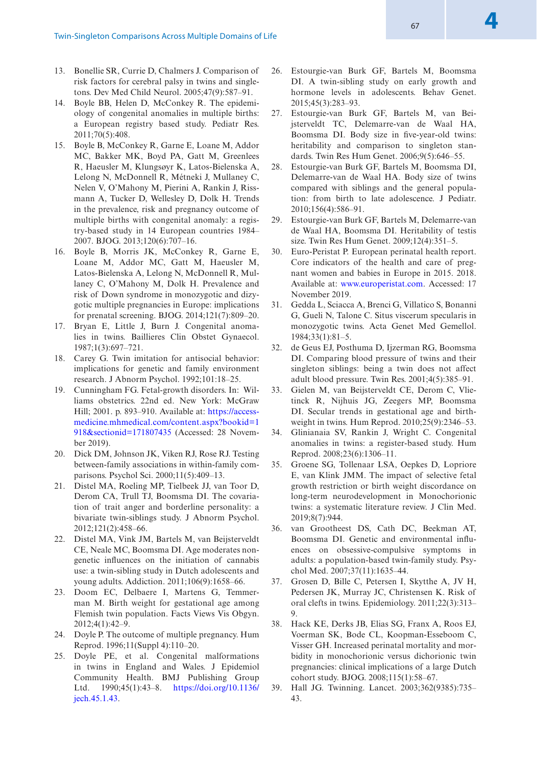- 13. Bonellie SR, Currie D, Chalmers J. Comparison of risk factors for cerebral palsy in twins and singletons. Dev Med Child Neurol. 2005;47(9):587–91.
- 14. Boyle BB, Helen D, McConkey R. The epidemiology of congenital anomalies in multiple births: a European registry based study. Pediatr Res. 2011;70(5):408.
- 15. Boyle B, McConkey R, Garne E, Loane M, Addor MC, Bakker MK, Boyd PA, Gatt M, Greenlees R, Haeusler M, Klungsøyr K, Latos-Bielenska A, Lelong N, McDonnell R, Métneki J, Mullaney C, Nelen V, O'Mahony M, Pierini A, Rankin J, Rissmann A, Tucker D, Wellesley D, Dolk H. Trends in the prevalence, risk and pregnancy outcome of multiple births with congenital anomaly: a registry-based study in 14 European countries 1984– 2007. BJOG. 2013;120(6):707–16.
- 16. Boyle B, Morris JK, McConkey R, Garne E, Loane M, Addor MC, Gatt M, Haeusler M, Latos-Bielenska A, Lelong N, McDonnell R, Mullaney C, O'Mahony M, Dolk H. Prevalence and risk of Down syndrome in monozygotic and dizygotic multiple pregnancies in Europe: implications for prenatal screening. BJOG. 2014;121(7):809–20.
- 17. Bryan E, Little J, Burn J. Congenital anomalies in twins. Baillieres Clin Obstet Gynaecol. 1987;1(3):697–721.
- 18. Carey G. Twin imitation for antisocial behavior: implications for genetic and family environment research. J Abnorm Psychol. 1992;101:18–25.
- 19. Cunningham FG. Fetal-growth disorders. In: Williams obstetrics. 22nd ed. New York: McGraw Hill; 2001. p. 893–910. Available at: [https://access](https://accessmedicine.mhmedical.com/content.aspx?bookid=1918§ionid=171807435)[medicine.mhmedical.com/content.aspx?bookid=1](https://accessmedicine.mhmedical.com/content.aspx?bookid=1918§ionid=171807435) [918&sectionid=171807435](https://accessmedicine.mhmedical.com/content.aspx?bookid=1918§ionid=171807435) (Accessed: 28 November 2019).
- 20. Dick DM, Johnson JK, Viken RJ, Rose RJ. Testing between-family associations in within-family comparisons. Psychol Sci. 2000;11(5):409–13.
- 21. Distel MA, Roeling MP, Tielbeek JJ, van Toor D, Derom CA, Trull TJ, Boomsma DI. The covariation of trait anger and borderline personality: a bivariate twin-siblings study. J Abnorm Psychol. 2012;121(2):458–66.
- 22. Distel MA, Vink JM, Bartels M, van Beijsterveldt CE, Neale MC, Boomsma DI. Age moderates nongenetic influences on the initiation of cannabis use: a twin-sibling study in Dutch adolescents and young adults. Addiction. 2011;106(9):1658–66.
- 23. Doom EC, Delbaere I, Martens G, Temmerman M. Birth weight for gestational age among Flemish twin population. Facts Views Vis Obgyn. 2012;4(1):42–9.
- 24. Doyle P. The outcome of multiple pregnancy. Hum Reprod. 1996;11(Suppl 4):110–20.
- 25. Doyle PE, et al. Congenital malformations in twins in England and Wales. J Epidemiol Community Health. BMJ Publishing Group Ltd. 1990;45(1):43–8. [https://doi.org/10.1136/](https://doi.org/10.1136/jech.45.1.43) [jech.45.1.43.](https://doi.org/10.1136/jech.45.1.43)
- 26. Estourgie-van Burk GF, Bartels M, Boomsma DI. A twin-sibling study on early growth and hormone levels in adolescents. Behav Genet. 2015;45(3):283–93.
- 27. Estourgie-van Burk GF, Bartels M, van Beijsterveldt TC, Delemarre-van de Waal HA, Boomsma DI. Body size in five-year-old twins: heritability and comparison to singleton standards. Twin Res Hum Genet. 2006;9(5):646–55.
- 28. Estourgie-van Burk GF, Bartels M, Boomsma DI, Delemarre-van de Waal HA. Body size of twins compared with siblings and the general population: from birth to late adolescence. J Pediatr. 2010;156(4):586–91.
- 29. Estourgie-van Burk GF, Bartels M, Delemarre-van de Waal HA, Boomsma DI. Heritability of testis size. Twin Res Hum Genet. 2009;12(4):351–5.
- 30. Euro-Peristat P. European perinatal health report. Core indicators of the health and care of pregnant women and babies in Europe in 2015. 2018. Available at: [www.europeristat.com.](http://www.europeristat.com) Accessed: 17 November 2019.
- 31. Gedda L, Sciacca A, Brenci G, Villatico S, Bonanni G, Gueli N, Talone C. Situs viscerum specularis in monozygotic twins. Acta Genet Med Gemellol. 1984;33(1):81–5.
- 32. de Geus EJ, Posthuma D, Ijzerman RG, Boomsma DI. Comparing blood pressure of twins and their singleton siblings: being a twin does not affect adult blood pressure. Twin Res. 2001;4(5):385–91.
- 33. Gielen M, van Beijsterveldt CE, Derom C, Vlietinck R, Nijhuis JG, Zeegers MP, Boomsma DI. Secular trends in gestational age and birthweight in twins. Hum Reprod. 2010;25(9):2346–53.
- 34. Glinianaia SV, Rankin J, Wright C. Congenital anomalies in twins: a register-based study. Hum Reprod. 2008;23(6):1306–11.
- 35. Groene SG, Tollenaar LSA, Oepkes D, Lopriore E, van Klink JMM. The impact of selective fetal growth restriction or birth weight discordance on long-term neurodevelopment in Monochorionic twins: a systematic literature review. J Clin Med. 2019;8(7):944.
- 36. van Grootheest DS, Cath DC, Beekman AT, Boomsma DI. Genetic and environmental influences on obsessive-compulsive symptoms in adults: a population-based twin-family study. Psychol Med. 2007;37(11):1635–44.
- 37. Grosen D, Bille C, Petersen I, Skytthe A, JV H, Pedersen JK, Murray JC, Christensen K. Risk of oral clefts in twins. Epidemiology. 2011;22(3):313– 9.
- 38. Hack KE, Derks JB, Elias SG, Franx A, Roos EJ, Voerman SK, Bode CL, Koopman-Esseboom C, Visser GH. Increased perinatal mortality and morbidity in monochorionic versus dichorionic twin pregnancies: clinical implications of a large Dutch cohort study. BJOG. 2008;115(1):58–67.
- 39. Hall JG. Twinning. Lancet. 2003;362(9385):735– 43.

<sup>67</sup> **4**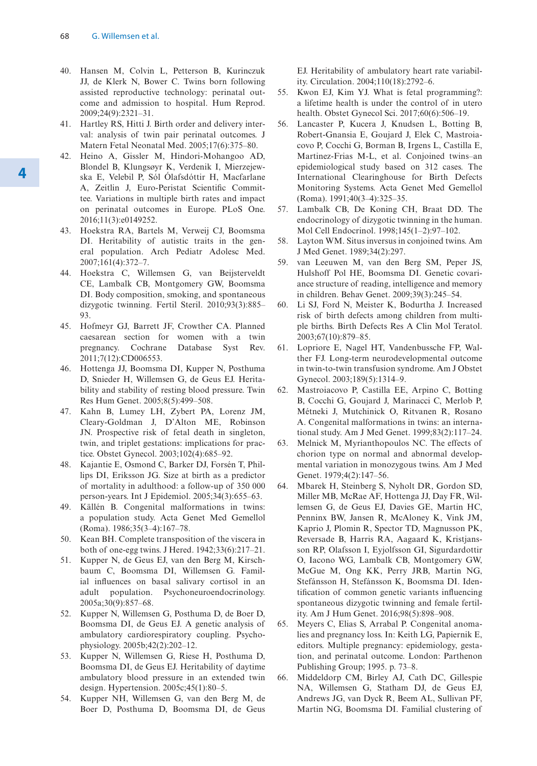- 40. Hansen M, Colvin L, Petterson B, Kurinczuk JJ, de Klerk N, Bower C. Twins born following assisted reproductive technology: perinatal outcome and admission to hospital. Hum Reprod. 2009;24(9):2321–31.
- 41. Hartley RS, Hitti J. Birth order and delivery interval: analysis of twin pair perinatal outcomes. J Matern Fetal Neonatal Med. 2005;17(6):375–80.
- 42. Heino A, Gissler M, Hindori-Mohangoo AD, Blondel B, Klungsøyr K, Verdenik I, Mierzejewska E, Velebil P, Sól Ólafsdóttir H, Macfarlane A, Zeitlin J, Euro-Peristat Scientific Committee. Variations in multiple birth rates and impact on perinatal outcomes in Europe. PLoS One. 2016;11(3):e0149252.
- 43. Hoekstra RA, Bartels M, Verweij CJ, Boomsma DI. Heritability of autistic traits in the general population. Arch Pediatr Adolesc Med. 2007;161(4):372–7.
- 44. Hoekstra C, Willemsen G, van Beijsterveldt CE, Lambalk CB, Montgomery GW, Boomsma DI. Body composition, smoking, and spontaneous dizygotic twinning. Fertil Steril. 2010;93(3):885– 93.
- 45. Hofmeyr GJ, Barrett JF, Crowther CA. Planned caesarean section for women with a twin pregnancy. Cochrane Database Syst Rev. 2011;7(12):CD006553.
- 46. Hottenga JJ, Boomsma DI, Kupper N, Posthuma D, Snieder H, Willemsen G, de Geus EJ. Heritability and stability of resting blood pressure. Twin Res Hum Genet. 2005;8(5):499–508.
- 47. Kahn B, Lumey LH, Zybert PA, Lorenz JM, Cleary-Goldman J, D'Alton ME, Robinson JN. Prospective risk of fetal death in singleton, twin, and triplet gestations: implications for practice. Obstet Gynecol. 2003;102(4):685–92.
- 48. Kajantie E, Osmond C, Barker DJ, Forsén T, Phillips DI, Eriksson JG. Size at birth as a predictor of mortality in adulthood: a follow-up of 350 000 person-years. Int J Epidemiol. 2005;34(3):655–63.
- 49. Källén B. Congenital malformations in twins: a population study. Acta Genet Med Gemellol (Roma). 1986;35(3–4):167–78.
- 50. Kean BH. Complete transposition of the viscera in both of one-egg twins. J Hered. 1942;33(6):217–21.
- 51. Kupper N, de Geus EJ, van den Berg M, Kirschbaum C, Boomsma DI, Willemsen G. Familial influences on basal salivary cortisol in an adult population. Psychoneuroendocrinology. 2005a;30(9):857–68.
- 52. Kupper N, Willemsen G, Posthuma D, de Boer D, Boomsma DI, de Geus EJ. A genetic analysis of ambulatory cardiorespiratory coupling. Psychophysiology. 2005b;42(2):202–12.
- 53. Kupper N, Willemsen G, Riese H, Posthuma D, Boomsma DI, de Geus EJ. Heritability of daytime ambulatory blood pressure in an extended twin design. Hypertension. 2005c;45(1):80–5.
- 54. Kupper NH, Willemsen G, van den Berg M, de Boer D, Posthuma D, Boomsma DI, de Geus

EJ. Heritability of ambulatory heart rate variability. Circulation. 2004;110(18):2792–6.

- 55. Kwon EJ, Kim YJ. What is fetal programming?: a lifetime health is under the control of in utero health. Obstet Gynecol Sci. 2017;60(6):506–19.
- 56. Lancaster P, Kucera J, Knudsen L, Botting B, Robert-Gnansia E, Goujard J, Elek C, Mastroiacovo P, Cocchi G, Borman B, Irgens L, Castilla E, Martinez-Frias M-L, et al. Conjoined twins–an epidemiological study based on 312 cases. The International Clearinghouse for Birth Defects Monitoring Systems. Acta Genet Med Gemellol (Roma). 1991;40(3–4):325–35.
- 57. Lambalk CB, De Koning CH, Braat DD. The endocrinology of dizygotic twinning in the human. Mol Cell Endocrinol. 1998;145(1–2):97–102.
- 58. Layton WM. Situs inversus in conjoined twins. Am J Med Genet. 1989;34(2):297.
- 59. van Leeuwen M, van den Berg SM, Peper JS, Hulshoff Pol HE, Boomsma DI. Genetic covariance structure of reading, intelligence and memory in children. Behav Genet. 2009;39(3):245–54.
- 60. Li SJ, Ford N, Meister K, Bodurtha J. Increased risk of birth defects among children from multiple births. Birth Defects Res A Clin Mol Teratol. 2003;67(10):879–85.
- 61. Lopriore E, Nagel HT, Vandenbussche FP, Walther FJ. Long-term neurodevelopmental outcome in twin-to-twin transfusion syndrome. Am J Obstet Gynecol. 2003;189(5):1314–9.
- 62. Mastroiacovo P, Castilla EE, Arpino C, Botting B, Cocchi G, Goujard J, Marinacci C, Merlob P, Métneki J, Mutchinick O, Ritvanen R, Rosano A. Congenital malformations in twins: an international study. Am J Med Genet. 1999;83(2):117–24.
- 63. Melnick M, Myrianthopoulos NC. The effects of chorion type on normal and abnormal developmental variation in monozygous twins. Am J Med Genet. 1979;4(2):147–56.
- 64. Mbarek H, Steinberg S, Nyholt DR, Gordon SD, Miller MB, McRae AF, Hottenga JJ, Day FR, Willemsen G, de Geus EJ, Davies GE, Martin HC, Penninx BW, Jansen R, McAloney K, Vink JM, Kaprio J, Plomin R, Spector TD, Magnusson PK, Reversade B, Harris RA, Aagaard K, Kristjansson RP, Olafsson I, Eyjolfsson GI, Sigurdardottir O, Iacono WG, Lambalk CB, Montgomery GW, McGue M, Ong KK, Perry JRB, Martin NG, Stefánsson H, Stefánsson K, Boomsma DI. Identification of common genetic variants influencing spontaneous dizygotic twinning and female fertility. Am J Hum Genet. 2016;98(5):898–908.
- 65. Meyers C, Elias S, Arrabal P. Congenital anomalies and pregnancy loss. In: Keith LG, Papiernik E, editors. Multiple pregnancy: epidemiology, gestation, and perinatal outcome. London: Parthenon Publishing Group; 1995. p. 73–8.
- 66. Middeldorp CM, Birley AJ, Cath DC, Gillespie NA, Willemsen G, Statham DJ, de Geus EJ, Andrews JG, van Dyck R, Beem AL, Sullivan PF, Martin NG, Boomsma DI. Familial clustering of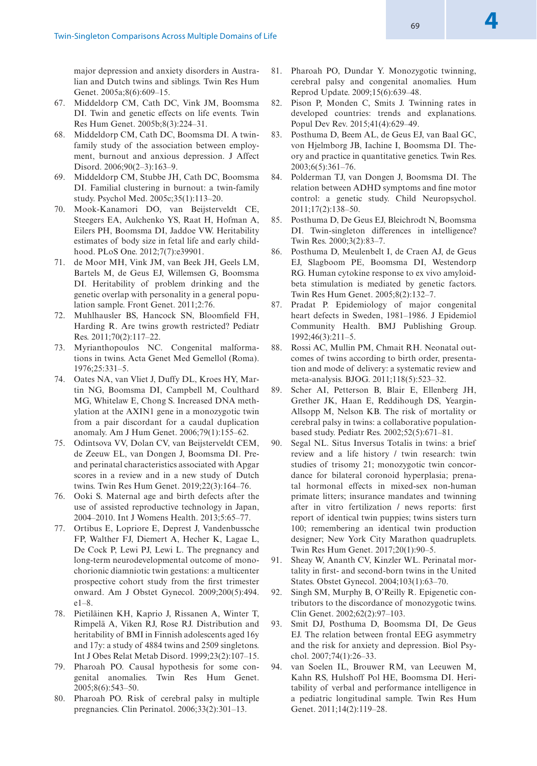major depression and anxiety disorders in Australian and Dutch twins and siblings. Twin Res Hum Genet. 2005a;8(6):609-15.

- 67. Middeldorp CM, Cath DC, Vink JM, Boomsma DI. Twin and genetic effects on life events. Twin Res Hum Genet. 2005b;8(3):224–31.
- 68. Middeldorp CM, Cath DC, Boomsma DI. A twinfamily study of the association between employment, burnout and anxious depression. J Affect Disord. 2006;90(2–3):163–9.
- 69. Middeldorp CM, Stubbe JH, Cath DC, Boomsma DI. Familial clustering in burnout: a twin-family study. Psychol Med. 2005c;35(1):113–20.
- 70. Mook-Kanamori DO, van Beijsterveldt CE, Steegers EA, Aulchenko YS, Raat H, Hofman A, Eilers PH, Boomsma DI, Jaddoe VW. Heritability estimates of body size in fetal life and early childhood. PLoS One. 2012;7(7):e39901.
- 71. de Moor MH, Vink JM, van Beek JH, Geels LM, Bartels M, de Geus EJ, Willemsen G, Boomsma DI. Heritability of problem drinking and the genetic overlap with personality in a general population sample. Front Genet. 2011;2:76.
- 72. Muhlhausler BS, Hancock SN, Bloomfield FH, Harding R. Are twins growth restricted? Pediatr Res. 2011;70(2):117–22.
- 73. Myrianthopoulos NC. Congenital malformations in twins. Acta Genet Med Gemellol (Roma). 1976;25:331–5.
- 74. Oates NA, van Vliet J, Duffy DL, Kroes HY, Martin NG, Boomsma DI, Campbell M, Coulthard MG, Whitelaw E, Chong S. Increased DNA methylation at the AXIN1 gene in a monozygotic twin from a pair discordant for a caudal duplication anomaly. Am J Hum Genet. 2006;79(1):155–62.
- 75. Odintsova VV, Dolan CV, van Beijsterveldt CEM, de Zeeuw EL, van Dongen J, Boomsma DI. Preand perinatal characteristics associated with Apgar scores in a review and in a new study of Dutch twins. Twin Res Hum Genet. 2019;22(3):164–76.
- 76. Ooki S. Maternal age and birth defects after the use of assisted reproductive technology in Japan, 2004–2010. Int J Womens Health. 2013;5:65–77.
- 77. Ortibus E, Lopriore E, Deprest J, Vandenbussche FP, Walther FJ, Diemert A, Hecher K, Lagae L, De Cock P, Lewi PJ, Lewi L. The pregnancy and long-term neurodevelopmental outcome of monochorionic diamniotic twin gestations: a multicenter prospective cohort study from the first trimester onward. Am J Obstet Gynecol. 2009;200(5):494. e1–8.
- 78. Pietiläinen KH, Kaprio J, Rissanen A, Winter T, Rimpelä A, Viken RJ, Rose RJ. Distribution and heritability of BMI in Finnish adolescents aged 16y and 17y: a study of 4884 twins and 2509 singletons. Int J Obes Relat Metab Disord. 1999;23(2):107–15.
- 79. Pharoah PO. Causal hypothesis for some congenital anomalies. Twin Res Hum Genet. 2005;8(6):543–50.
- 80. Pharoah PO. Risk of cerebral palsy in multiple pregnancies. Clin Perinatol. 2006;33(2):301–13.
- 81. Pharoah PO, Dundar Y. Monozygotic twinning, cerebral palsy and congenital anomalies. Hum Reprod Update. 2009;15(6):639–48.
- 82. Pison P, Monden C, Smits J. Twinning rates in developed countries: trends and explanations. Popul Dev Rev. 2015;41(4):629–49.
- 83. Posthuma D, Beem AL, de Geus EJ, van Baal GC, von Hjelmborg JB, Iachine I, Boomsma DI. Theory and practice in quantitative genetics. Twin Res. 2003;6(5):361–76.
- 84. Polderman TJ, van Dongen J, Boomsma DI. The relation between ADHD symptoms and fine motor control: a genetic study. Child Neuropsychol. 2011;17(2):138–50.
- 85. Posthuma D, De Geus EJ, Bleichrodt N, Boomsma DI. Twin-singleton differences in intelligence? Twin Res. 2000;3(2):83–7.
- 86. Posthuma D, Meulenbelt I, de Craen AJ, de Geus EJ, Slagboom PE, Boomsma DI, Westendorp RG. Human cytokine response to ex vivo amyloidbeta stimulation is mediated by genetic factors. Twin Res Hum Genet. 2005;8(2):132–7.
- 87. Pradat P. Epidemiology of major congenital heart defects in Sweden, 1981–1986. J Epidemiol Community Health. BMJ Publishing Group. 1992;46(3):211–5.
- 88. Rossi AC, Mullin PM, Chmait RH. Neonatal outcomes of twins according to birth order, presentation and mode of delivery: a systematic review and meta-analysis. BJOG. 2011;118(5):523–32.
- 89. Scher AI, Petterson B, Blair E, Ellenberg JH, Grether JK, Haan E, Reddihough DS, Yeargin-Allsopp M, Nelson KB. The risk of mortality or cerebral palsy in twins: a collaborative populationbased study. Pediatr Res. 2002;52(5):671–81.
- 90. Segal NL. Situs Inversus Totalis in twins: a brief review and a life history / twin research: twin studies of trisomy 21; monozygotic twin concordance for bilateral coronoid hyperplasia; prenatal hormonal effects in mixed-sex non-human primate litters; insurance mandates and twinning after in vitro fertilization / news reports: first report of identical twin puppies; twins sisters turn 100; remembering an identical twin production designer; New York City Marathon quadruplets. Twin Res Hum Genet. 2017;20(1):90–5.
- 91. Sheay W, Ananth CV, Kinzler WL. Perinatal mortality in first- and second-born twins in the United States. Obstet Gynecol. 2004;103(1):63–70.
- 92. Singh SM, Murphy B, O'Reilly R. Epigenetic contributors to the discordance of monozygotic twins. Clin Genet. 2002;62(2):97–103.
- 93. Smit DJ, Posthuma D, Boomsma DI, De Geus EJ. The relation between frontal EEG asymmetry and the risk for anxiety and depression. Biol Psychol. 2007;74(1):26–33.
- 94. van Soelen IL, Brouwer RM, van Leeuwen M, Kahn RS, Hulshoff Pol HE, Boomsma DI. Heritability of verbal and performance intelligence in a pediatric longitudinal sample. Twin Res Hum Genet. 2011;14(2):119–28.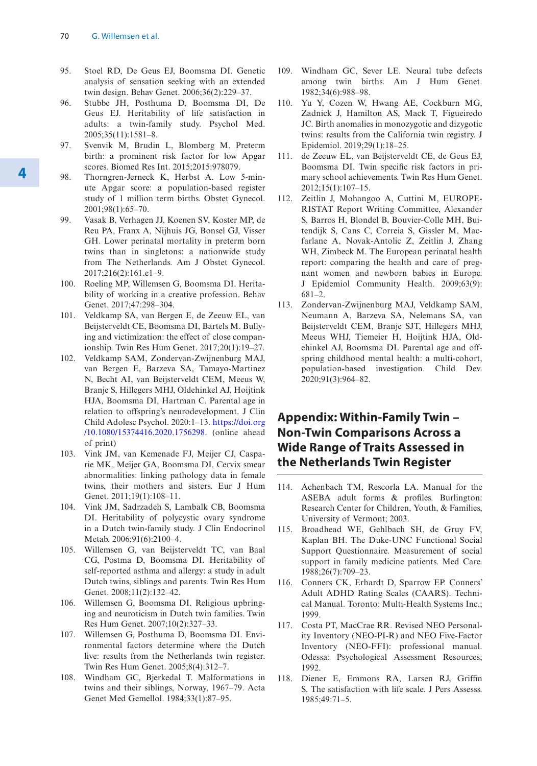- 95. Stoel RD, De Geus EJ, Boomsma DI. Genetic analysis of sensation seeking with an extended twin design. Behav Genet. 2006;36(2):229–37.
- 96. Stubbe JH, Posthuma D, Boomsma DI, De Geus EJ. Heritability of life satisfaction in adults: a twin-family study. Psychol Med. 2005;35(11):1581–8.
- 97. Svenvik M, Brudin L, Blomberg M. Preterm birth: a prominent risk factor for low Apgar scores. Biomed Res Int. 2015;2015:978079.
- 98. Thorngren-Jerneck K, Herbst A. Low 5-minute Apgar score: a population-based register study of 1 million term births. Obstet Gynecol. 2001;98(1):65–70.
- 99. Vasak B, Verhagen JJ, Koenen SV, Koster MP, de Reu PA, Franx A, Nijhuis JG, Bonsel GJ, Visser GH. Lower perinatal mortality in preterm born twins than in singletons: a nationwide study from The Netherlands. Am J Obstet Gynecol. 2017;216(2):161.e1–9.
- 100. Roeling MP, Willemsen G, Boomsma DI. Heritability of working in a creative profession. Behav Genet. 2017;47:298–304.
- 101. Veldkamp SA, van Bergen E, de Zeeuw EL, van Beijsterveldt CE, Boomsma DI, Bartels M. Bullying and victimization: the effect of close companionship. Twin Res Hum Genet. 2017;20(1):19–27.
- 102. Veldkamp SAM, Zondervan-Zwijnenburg MAJ, van Bergen E, Barzeva SA, Tamayo-Martinez N, Becht AI, van Beijsterveldt CEM, Meeus W, Branje S, Hillegers MHJ, Oldehinkel AJ, Hoijtink HJA, Boomsma DI, Hartman C. Parental age in relation to offspring's neurodevelopment. J Clin Child Adolesc Psychol. 2020:1–13. [https://doi.org](https://doi.org/10.1080/15374416.2020.1756298) [/10.1080/15374416.2020.1756298.](https://doi.org/10.1080/15374416.2020.1756298) (online ahead of print)
- 103. Vink JM, van Kemenade FJ, Meijer CJ, Casparie MK, Meijer GA, Boomsma DI. Cervix smear abnormalities: linking pathology data in female twins, their mothers and sisters. Eur J Hum Genet. 2011;19(1):108–11.
- 104. Vink JM, Sadrzadeh S, Lambalk CB, Boomsma DI. Heritability of polycystic ovary syndrome in a Dutch twin-family study. J Clin Endocrinol Metab. 2006;91(6):2100–4.
- 105. Willemsen G, van Beijsterveldt TC, van Baal CG, Postma D, Boomsma DI. Heritability of self-reported asthma and allergy: a study in adult Dutch twins, siblings and parents. Twin Res Hum Genet. 2008;11(2):132–42.
- 106. Willemsen G, Boomsma DI. Religious upbringing and neuroticism in Dutch twin families. Twin Res Hum Genet. 2007;10(2):327–33.
- 107. Willemsen G, Posthuma D, Boomsma DI. Environmental factors determine where the Dutch live: results from the Netherlands twin register. Twin Res Hum Genet. 2005;8(4):312–7.
- 108. Windham GC, Bjerkedal T. Malformations in twins and their siblings, Norway, 1967–79. Acta Genet Med Gemellol. 1984;33(1):87–95.
- 109. Windham GC, Sever LE. Neural tube defects among twin births. Am J Hum Genet. 1982;34(6):988–98.
- 110. Yu Y, Cozen W, Hwang AE, Cockburn MG, Zadnick J, Hamilton AS, Mack T, Figueiredo JC. Birth anomalies in monozygotic and dizygotic twins: results from the California twin registry. J Epidemiol. 2019;29(1):18–25.
- 111. de Zeeuw EL, van Beijsterveldt CE, de Geus EJ, Boomsma DI. Twin specific risk factors in primary school achievements. Twin Res Hum Genet. 2012;15(1):107–15.
- 112. Zeitlin J, Mohangoo A, Cuttini M, EUROPE-RISTAT Report Writing Committee, Alexander S, Barros H, Blondel B, Bouvier-Colle MH, Buitendijk S, Cans C, Correia S, Gissler M, Macfarlane A, Novak-Antolic Z, Zeitlin J, Zhang WH, Zimbeck M. The European perinatal health report: comparing the health and care of pregnant women and newborn babies in Europe. J Epidemiol Community Health. 2009;63(9): 681–2.
- 113. Zondervan-Zwijnenburg MAJ, Veldkamp SAM, Neumann A, Barzeva SA, Nelemans SA, van Beijsterveldt CEM, Branje SJT, Hillegers MHJ, Meeus WHJ, Tiemeier H, Hoijtink HJA, Oldehinkel AJ, Boomsma DI. Parental age and offspring childhood mental health: a multi-cohort, population-based investigation. Child Dev. 2020;91(3):964–82.

# **Appendix: Within-Family Twin – Non-Twin Comparisons Across a Wide Range of Traits Assessed in the Netherlands Twin Register**

- 114. Achenbach TM, Rescorla LA. Manual for the ASEBA adult forms & profiles. Burlington: Research Center for Children, Youth, & Families, University of Vermont; 2003.
- 115. Broadhead WE, Gehlbach SH, de Gruy FV, Kaplan BH. The Duke-UNC Functional Social Support Questionnaire. Measurement of social support in family medicine patients. Med Care. 1988;26(7):709–23.
- 116. Conners CK, Erhardt D, Sparrow EP. Conners' Adult ADHD Rating Scales (CAARS). Technical Manual. Toronto: Multi-Health Systems Inc.; 1999.
- 117. Costa PT, MacCrae RR. Revised NEO Personality Inventory (NEO-PI-R) and NEO Five-Factor Inventory (NEO-FFI): professional manual. Odessa: Psychological Assessment Resources; 1992.
- 118. Diener E, Emmons RA, Larsen RJ, Griffin S. The satisfaction with life scale. J Pers Assesss. 1985;49:71–5.